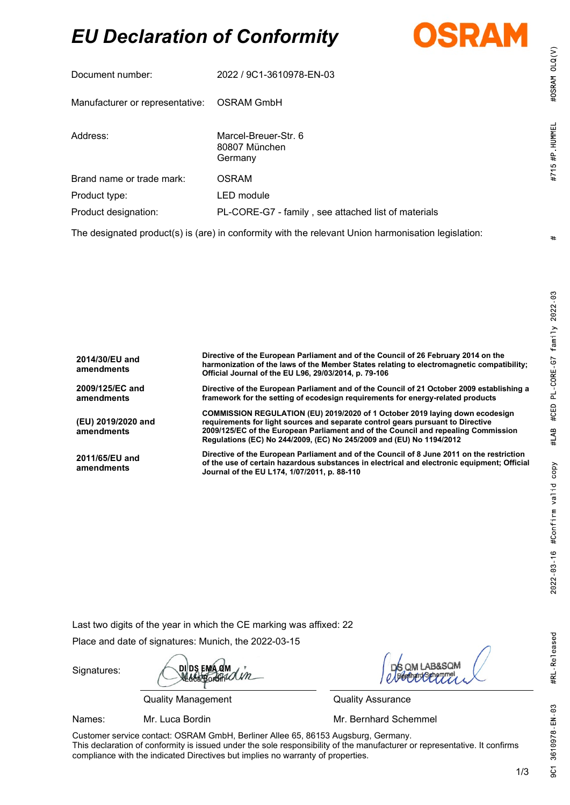# *EU Declaration of Conformity*



| Document number:                                                                                               | 2022 / 9C1-3610978-EN-03                            |  |
|----------------------------------------------------------------------------------------------------------------|-----------------------------------------------------|--|
| Manufacturer or representative: OSRAM GmbH                                                                     |                                                     |  |
| Address:                                                                                                       | Marcel-Breuer-Str. 6<br>80807 München<br>Germany    |  |
| Brand name or trade mark:                                                                                      | <b>OSRAM</b>                                        |  |
| Product type:                                                                                                  | LED module                                          |  |
| Product designation:                                                                                           | PL-CORE-G7 - family, see attached list of materials |  |
| ▜▜▖▗▕▊▖▖▌▒▖▗▐▖▕▊░▖▖▐▎▖▗▐ <i>▎▖</i> ▐▏▏ <i>▌▖░▕</i> ▎▏░▏░▖▁▛▖▒▖▝▊▖▖▖▞▊▌▕▊▖▏░░▐▏▖▖░▖▋▐▌▖▌░░▏▊░░░▏▌░░▌░▕▋░░▌▖▐▌░░ |                                                     |  |

The designated product(s) is (are) in conformity with the relevant Union harmonisation legislation:

| 2014/30/EU and<br>amendments     | Directive of the European Parliament and of the Council of 26 February 2014 on the<br>harmonization of the laws of the Member States relating to electromagnetic compatibility;<br>Official Journal of the EU L96, 29/03/2014, p. 79-106                                                                                      |
|----------------------------------|-------------------------------------------------------------------------------------------------------------------------------------------------------------------------------------------------------------------------------------------------------------------------------------------------------------------------------|
| 2009/125/EC and<br>amendments    | Directive of the European Parliament and of the Council of 21 October 2009 establishing a<br>framework for the setting of ecodesign requirements for energy-related products                                                                                                                                                  |
| (EU) 2019/2020 and<br>amendments | COMMISSION REGULATION (EU) 2019/2020 of 1 October 2019 laying down ecodesign<br>requirements for light sources and separate control gears pursuant to Directive<br>2009/125/EC of the European Parliament and of the Council and repealing Commission<br>Regulations (EC) No 244/2009, (EC) No 245/2009 and (EU) No 1194/2012 |
| 2011/65/EU and<br>amendments     | Directive of the European Parliament and of the Council of 8 June 2011 on the restriction<br>of the use of certain hazardous substances in electrical and electronic equipment; Official<br>Journal of the EU L174, 1/07/2011, p. 88-110                                                                                      |

Last two digits of the year in which the CE marking was affixed: 22

Place and date of signatures: Munich, the 2022-03-15

Signatures:

**DI DS EMA QM** (M Luca Bordin

Quality Management Quality Assurance

Names: Mr. Luca Bordin Mr. **Mr. Bernhard Schemmel** 

Customer service contact: OSRAM GmbH, Berliner Allee 65, 86153 Augsburg, Germany. This declaration of conformity is issued under the sole responsibility of the manufacturer or representative. It confirms compliance with the indicated Directives but implies no warranty of properties.

 $#$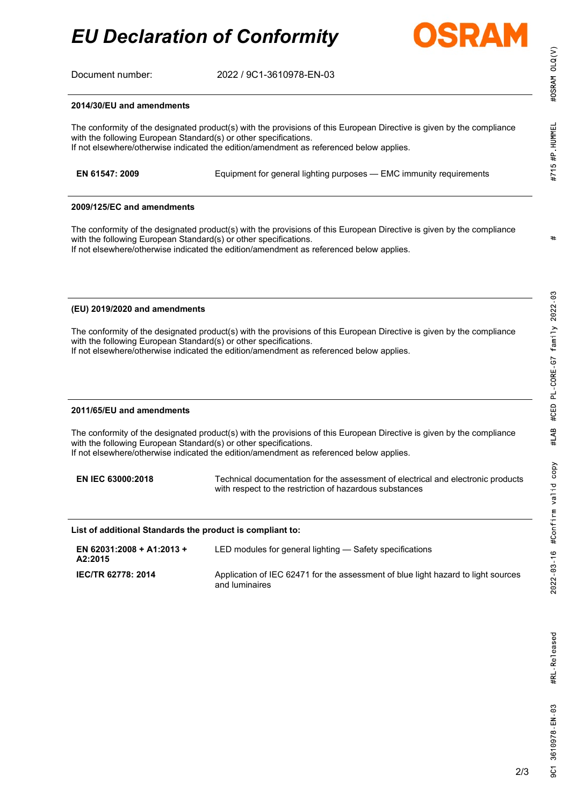*EU Declaration of Conformity*



Document number: 2022 / 9C1-3610978-EN-03

## **2014/30/EU and amendments**

The conformity of the designated product(s) with the provisions of this European Directive is given by the compliance with the following European Standard(s) or other specifications. If not elsewhere/otherwise indicated the edition/amendment as referenced below applies.

| EN 61547: 2009 | Equipment for general lighting purposes - EMC immunity requirements |  |
|----------------|---------------------------------------------------------------------|--|
|                |                                                                     |  |

## **2009/125/EC and amendments**

The conformity of the designated product(s) with the provisions of this European Directive is given by the compliance with the following European Standard(s) or other specifications.

If not elsewhere/otherwise indicated the edition/amendment as referenced below applies.

## **(EU) 2019/2020 and amendments**

The conformity of the designated product(s) with the provisions of this European Directive is given by the compliance with the following European Standard(s) or other specifications.

If not elsewhere/otherwise indicated the edition/amendment as referenced below applies.

## **2011/65/EU and amendments**

The conformity of the designated product(s) with the provisions of this European Directive is given by the compliance with the following European Standard(s) or other specifications. If not elsewhere/otherwise indicated the edition/amendment as referenced below applies.

**EN IEC 63000:2018** Technical documentation for the assessment of electrical and electronic products with respect to the restriction of hazardous substances

#### **List of additional Standards the product is compliant to:**

| EN 62031:2008 + A1:2013 +<br>A2:2015 | LED modules for general lighting — Safety specifications                                            |
|--------------------------------------|-----------------------------------------------------------------------------------------------------|
| <b>IEC/TR 62778: 2014</b>            | Application of IEC 62471 for the assessment of blue light hazard to light sources<br>and luminaires |

#OSRAM OLQ(V)